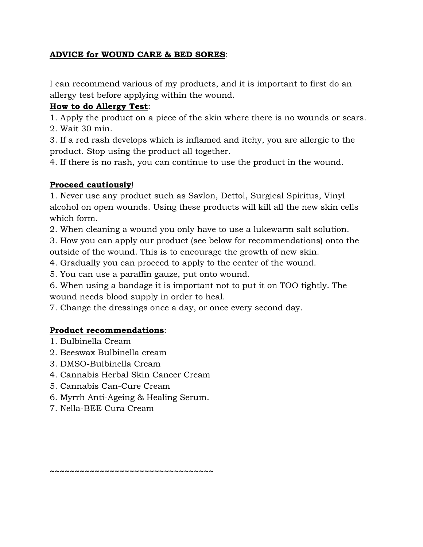## **ADVICE for WOUND CARE & BED SORES**:

I can recommend various of my products, and it is important to first do an allergy test before applying within the wound.

## **How to do Allergy Test**:

1. Apply the product on a piece of the skin where there is no wounds or scars.

2. Wait 30 min.

3. If a red rash develops which is inflamed and itchy, you are allergic to the product. Stop using the product all together.

4. If there is no rash, you can continue to use the product in the wound.

## **Proceed cautiously**!

1. Never use any product such as Savlon, Dettol, Surgical Spiritus, Vinyl alcohol on open wounds. Using these products will kill all the new skin cells which form.

2. When cleaning a wound you only have to use a lukewarm salt solution.

3. How you can apply our product (see below for recommendations) onto the outside of the wound. This is to encourage the growth of new skin.

4. Gradually you can proceed to apply to the center of the wound.

5. You can use a paraffin gauze, put onto wound.

6. When using a bandage it is important not to put it on TOO tightly. The wound needs blood supply in order to heal.

7. Change the dressings once a day, or once every second day.

## **Product recommendations**:

- 1. Bulbinella Cream
- 2. Beeswax Bulbinella cream
- 3. DMSO-Bulbinella Cream
- 4. Cannabis Herbal Skin Cancer Cream
- 5. Cannabis Can-Cure Cream
- 6. Myrrh Anti-Ageing & Healing Serum.
- 7. Nella-BEE Cura Cream